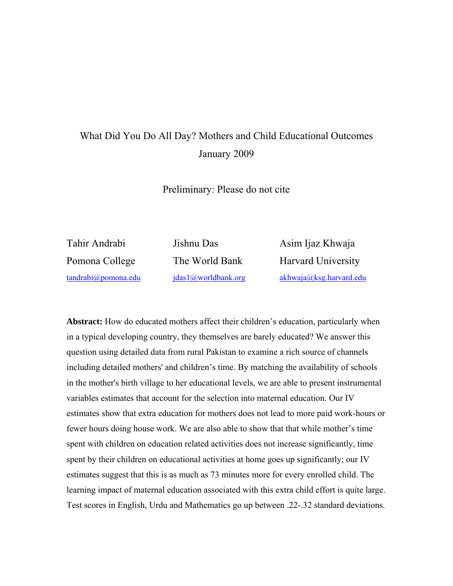# What Did You Do All Day? Mothers and Child Educational Outcomes January 2009

Preliminary: Please do not cite

Tahir Andrabi Jishnu Das Asim Ijaz Khwaja

Pomona College The World Bank Harvard University tandrabi@pomona.edu jdas1@worldbank.org akhwaja@ksg.harvard.edu

**Abstract:** How do educated mothers affect their children's education, particularly when in a typical developing country, they themselves are barely educated? We answer this question using detailed data from rural Pakistan to examine a rich source of channels including detailed mothers' and children's time. By matching the availability of schools in the mother's birth village to her educational levels, we are able to present instrumental variables estimates that account for the selection into maternal education. Our IV estimates show that extra education for mothers does not lead to more paid work-hours or fewer hours doing house work. We are also able to show that that while mother's time spent with children on education related activities does not increase significantly, time spent by their children on educational activities at home goes up significantly; our IV estimates suggest that this is as much as 73 minutes more for every enrolled child. The learning impact of maternal education associated with this extra child effort is quite large. Test scores in English, Urdu and Mathematics go up between .22-.32 standard deviations.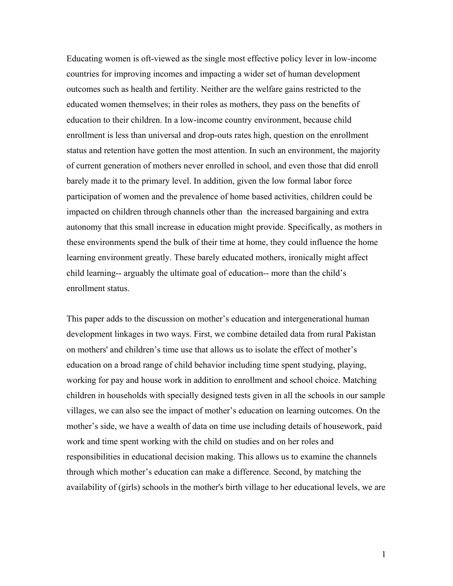Educating women is oft-viewed as the single most effective policy lever in low-income countries for improving incomes and impacting a wider set of human development outcomes such as health and fertility. Neither are the welfare gains restricted to the educated women themselves; in their roles as mothers, they pass on the benefits of education to their children. In a low-income country environment, because child enrollment is less than universal and drop-outs rates high, question on the enrollment status and retention have gotten the most attention. In such an environment, the majority of current generation of mothers never enrolled in school, and even those that did enroll barely made it to the primary level. In addition, given the low formal labor force participation of women and the prevalence of home based activities, children could be impacted on children through channels other than the increased bargaining and extra autonomy that this small increase in education might provide. Specifically, as mothers in these environments spend the bulk of their time at home, they could influence the home learning environment greatly. These barely educated mothers, ironically might affect child learning-- arguably the ultimate goal of education-- more than the child's enrollment status.

This paper adds to the discussion on mother's education and intergenerational human development linkages in two ways. First, we combine detailed data from rural Pakistan on mothers' and children's time use that allows us to isolate the effect of mother's education on a broad range of child behavior including time spent studying, playing, working for pay and house work in addition to enrollment and school choice. Matching children in households with specially designed tests given in all the schools in our sample villages, we can also see the impact of mother's education on learning outcomes. On the mother's side, we have a wealth of data on time use including details of housework, paid work and time spent working with the child on studies and on her roles and responsibilities in educational decision making. This allows us to examine the channels through which mother's education can make a difference. Second, by matching the availability of (girls) schools in the mother's birth village to her educational levels, we are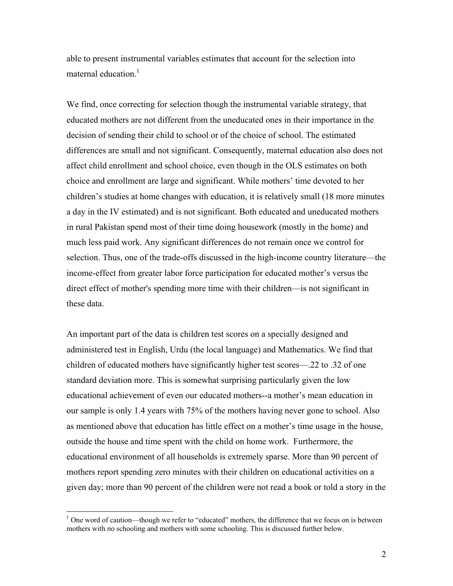able to present instrumental variables estimates that account for the selection into maternal education.<sup>1</sup>

We find, once correcting for selection though the instrumental variable strategy, that educated mothers are not different from the uneducated ones in their importance in the decision of sending their child to school or of the choice of school. The estimated differences are small and not significant. Consequently, maternal education also does not affect child enrollment and school choice, even though in the OLS estimates on both choice and enrollment are large and significant. While mothers' time devoted to her children's studies at home changes with education, it is relatively small (18 more minutes a day in the IV estimated) and is not significant. Both educated and uneducated mothers in rural Pakistan spend most of their time doing housework (mostly in the home) and much less paid work. Any significant differences do not remain once we control for selection. Thus, one of the trade-offs discussed in the high-income country literature—the income-effect from greater labor force participation for educated mother's versus the direct effect of mother's spending more time with their children—is not significant in these data.

An important part of the data is children test scores on a specially designed and administered test in English, Urdu (the local language) and Mathematics. We find that children of educated mothers have significantly higher test scores—.22 to .32 of one standard deviation more. This is somewhat surprising particularly given the low educational achievement of even our educated mothers--a mother's mean education in our sample is only 1.4 years with 75% of the mothers having never gone to school. Also as mentioned above that education has little effect on a mother's time usage in the house, outside the house and time spent with the child on home work. Furthermore, the educational environment of all households is extremely sparse. More than 90 percent of mothers report spending zero minutes with their children on educational activities on a given day; more than 90 percent of the children were not read a book or told a story in the

1

 $1$  One word of caution—though we refer to "educated" mothers, the difference that we focus on is between mothers with *no* schooling and mothers with some schooling. This is discussed further below.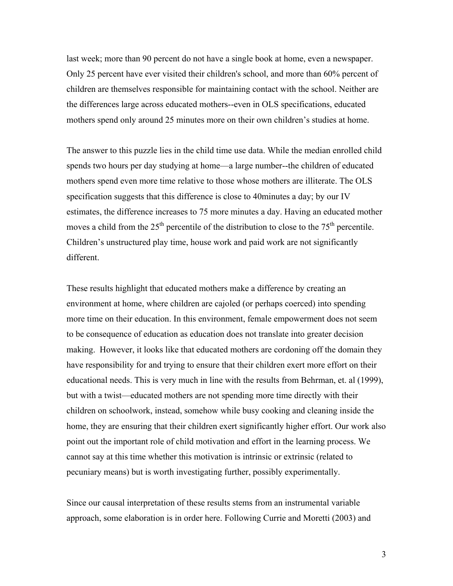last week; more than 90 percent do not have a single book at home, even a newspaper. Only 25 percent have ever visited their children's school, and more than 60% percent of children are themselves responsible for maintaining contact with the school. Neither are the differences large across educated mothers--even in OLS specifications, educated mothers spend only around 25 minutes more on their own children's studies at home.

The answer to this puzzle lies in the child time use data. While the median enrolled child spends two hours per day studying at home—a large number--the children of educated mothers spend even more time relative to those whose mothers are illiterate. The OLS specification suggests that this difference is close to 40minutes a day; by our IV estimates, the difference increases to 75 more minutes a day. Having an educated mother moves a child from the  $25<sup>th</sup>$  percentile of the distribution to close to the  $75<sup>th</sup>$  percentile. Children's unstructured play time, house work and paid work are not significantly different.

These results highlight that educated mothers make a difference by creating an environment at home, where children are cajoled (or perhaps coerced) into spending more time on their education. In this environment, female empowerment does not seem to be consequence of education as education does not translate into greater decision making. However, it looks like that educated mothers are cordoning off the domain they have responsibility for and trying to ensure that their children exert more effort on their educational needs. This is very much in line with the results from Behrman, et. al (1999), but with a twist—educated mothers are not spending more time directly with their children on schoolwork, instead, somehow while busy cooking and cleaning inside the home, they are ensuring that their children exert significantly higher effort. Our work also point out the important role of child motivation and effort in the learning process. We cannot say at this time whether this motivation is intrinsic or extrinsic (related to pecuniary means) but is worth investigating further, possibly experimentally.

Since our causal interpretation of these results stems from an instrumental variable approach, some elaboration is in order here. Following Currie and Moretti (2003) and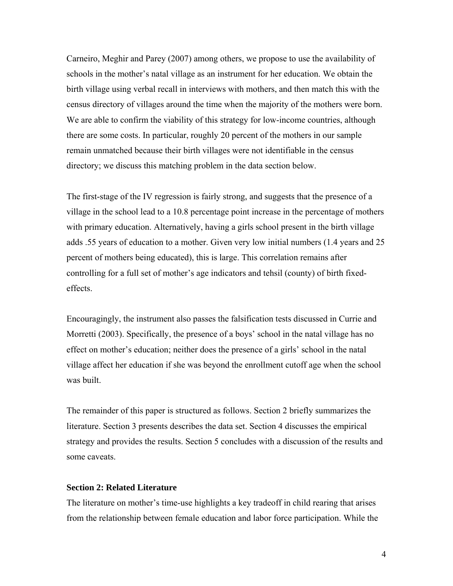Carneiro, Meghir and Parey (2007) among others, we propose to use the availability of schools in the mother's natal village as an instrument for her education. We obtain the birth village using verbal recall in interviews with mothers, and then match this with the census directory of villages around the time when the majority of the mothers were born. We are able to confirm the viability of this strategy for low-income countries, although there are some costs. In particular, roughly 20 percent of the mothers in our sample remain unmatched because their birth villages were not identifiable in the census directory; we discuss this matching problem in the data section below.

The first-stage of the IV regression is fairly strong, and suggests that the presence of a village in the school lead to a 10.8 percentage point increase in the percentage of mothers with primary education. Alternatively, having a girls school present in the birth village adds .55 years of education to a mother. Given very low initial numbers (1.4 years and 25 percent of mothers being educated), this is large. This correlation remains after controlling for a full set of mother's age indicators and tehsil (county) of birth fixedeffects.

Encouragingly, the instrument also passes the falsification tests discussed in Currie and Morretti (2003). Specifically, the presence of a boys' school in the natal village has no effect on mother's education; neither does the presence of a girls' school in the natal village affect her education if she was beyond the enrollment cutoff age when the school was built.

The remainder of this paper is structured as follows. Section 2 briefly summarizes the literature. Section 3 presents describes the data set. Section 4 discusses the empirical strategy and provides the results. Section 5 concludes with a discussion of the results and some caveats.

### **Section 2: Related Literature**

The literature on mother's time-use highlights a key tradeoff in child rearing that arises from the relationship between female education and labor force participation. While the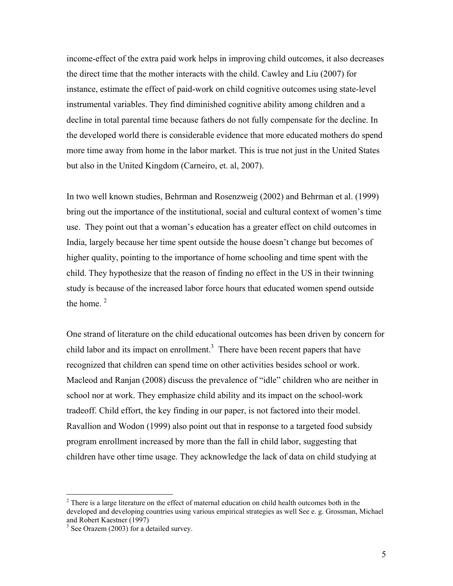income-effect of the extra paid work helps in improving child outcomes, it also decreases the direct time that the mother interacts with the child. Cawley and Liu (2007) for instance, estimate the effect of paid-work on child cognitive outcomes using state-level instrumental variables. They find diminished cognitive ability among children and a decline in total parental time because fathers do not fully compensate for the decline. In the developed world there is considerable evidence that more educated mothers do spend more time away from home in the labor market. This is true not just in the United States but also in the United Kingdom (Carneiro, et. al, 2007).

In two well known studies, Behrman and Rosenzweig (2002) and Behrman et al. (1999) bring out the importance of the institutional, social and cultural context of women's time use. They point out that a woman's education has a greater effect on child outcomes in India, largely because her time spent outside the house doesn't change but becomes of higher quality, pointing to the importance of home schooling and time spent with the child. They hypothesize that the reason of finding no effect in the US in their twinning study is because of the increased labor force hours that educated women spend outside the home  $2$ 

One strand of literature on the child educational outcomes has been driven by concern for child labor and its impact on enrollment.<sup>3</sup> There have been recent papers that have recognized that children can spend time on other activities besides school or work. Macleod and Ranjan (2008) discuss the prevalence of "idle" children who are neither in school nor at work. They emphasize child ability and its impact on the school-work tradeoff. Child effort, the key finding in our paper, is not factored into their model. Ravallion and Wodon (1999) also point out that in response to a targeted food subsidy program enrollment increased by more than the fall in child labor, suggesting that children have other time usage. They acknowledge the lack of data on child studying at

<u>.</u>

 $2^2$  There is a large literature on the effect of maternal education on child health outcomes both in the developed and developing countries using various empirical strategies as well See e. g. Grossman, Michael and Robert Kaestner (1997)

<sup>&</sup>lt;sup>3</sup> See Orazem (2003) for a detailed survey.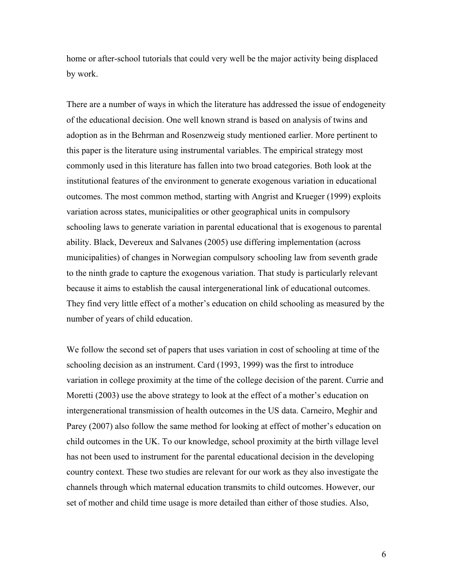home or after-school tutorials that could very well be the major activity being displaced by work.

There are a number of ways in which the literature has addressed the issue of endogeneity of the educational decision. One well known strand is based on analysis of twins and adoption as in the Behrman and Rosenzweig study mentioned earlier. More pertinent to this paper is the literature using instrumental variables. The empirical strategy most commonly used in this literature has fallen into two broad categories. Both look at the institutional features of the environment to generate exogenous variation in educational outcomes. The most common method, starting with Angrist and Krueger (1999) exploits variation across states, municipalities or other geographical units in compulsory schooling laws to generate variation in parental educational that is exogenous to parental ability. Black, Devereux and Salvanes (2005) use differing implementation (across municipalities) of changes in Norwegian compulsory schooling law from seventh grade to the ninth grade to capture the exogenous variation. That study is particularly relevant because it aims to establish the causal intergenerational link of educational outcomes. They find very little effect of a mother's education on child schooling as measured by the number of years of child education.

We follow the second set of papers that uses variation in cost of schooling at time of the schooling decision as an instrument. Card (1993, 1999) was the first to introduce variation in college proximity at the time of the college decision of the parent. Currie and Moretti (2003) use the above strategy to look at the effect of a mother's education on intergenerational transmission of health outcomes in the US data. Carneiro, Meghir and Parey (2007) also follow the same method for looking at effect of mother's education on child outcomes in the UK. To our knowledge, school proximity at the birth village level has not been used to instrument for the parental educational decision in the developing country context. These two studies are relevant for our work as they also investigate the channels through which maternal education transmits to child outcomes. However, our set of mother and child time usage is more detailed than either of those studies. Also,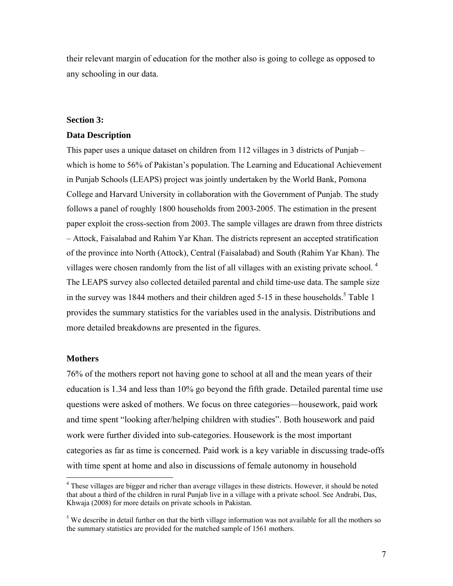their relevant margin of education for the mother also is going to college as opposed to any schooling in our data.

#### **Section 3:**

### **Data Description**

This paper uses a unique dataset on children from 112 villages in 3 districts of Punjab – which is home to 56% of Pakistan's population. The Learning and Educational Achievement in Punjab Schools (LEAPS) project was jointly undertaken by the World Bank, Pomona College and Harvard University in collaboration with the Government of Punjab. The study follows a panel of roughly 1800 households from 2003-2005. The estimation in the present paper exploit the cross-section from 2003. The sample villages are drawn from three districts – Attock, Faisalabad and Rahim Yar Khan. The districts represent an accepted stratification of the province into North (Attock), Central (Faisalabad) and South (Rahim Yar Khan). The villages were chosen randomly from the list of all villages with an existing private school.<sup>4</sup> The LEAPS survey also collected detailed parental and child time-use data. The sample size in the survey was 1844 mothers and their children aged  $5$ -15 in these households.<sup>5</sup> Table 1 provides the summary statistics for the variables used in the analysis. Distributions and more detailed breakdowns are presented in the figures.

### **Mothers**

1

76% of the mothers report not having gone to school at all and the mean years of their education is 1.34 and less than 10% go beyond the fifth grade. Detailed parental time use questions were asked of mothers. We focus on three categories—housework, paid work and time spent "looking after/helping children with studies". Both housework and paid work were further divided into sub-categories. Housework is the most important categories as far as time is concerned. Paid work is a key variable in discussing trade-offs with time spent at home and also in discussions of female autonomy in household

<sup>&</sup>lt;sup>4</sup> These villages are bigger and richer than average villages in these districts. However, it should be noted that about a third of the children in rural Punjab live in a village with a private school. See Andrabi, Das, Khwaja (2008) for more details on private schools in Pakistan.

<sup>&</sup>lt;sup>5</sup> We describe in detail further on that the birth village information was not available for all the mothers so the summary statistics are provided for the matched sample of 1561 mothers.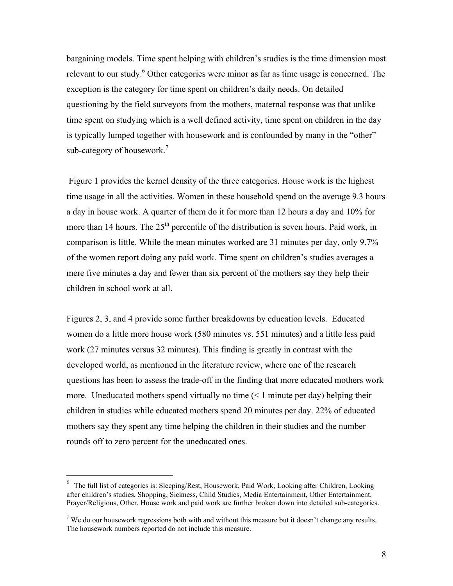bargaining models. Time spent helping with children's studies is the time dimension most relevant to our study.<sup>6</sup> Other categories were minor as far as time usage is concerned. The exception is the category for time spent on children's daily needs. On detailed questioning by the field surveyors from the mothers, maternal response was that unlike time spent on studying which is a well defined activity, time spent on children in the day is typically lumped together with housework and is confounded by many in the "other" sub-category of housework.<sup>7</sup>

 Figure 1 provides the kernel density of the three categories. House work is the highest time usage in all the activities. Women in these household spend on the average 9.3 hours a day in house work. A quarter of them do it for more than 12 hours a day and 10% for more than 14 hours. The  $25<sup>th</sup>$  percentile of the distribution is seven hours. Paid work, in comparison is little. While the mean minutes worked are 31 minutes per day, only 9.7% of the women report doing any paid work. Time spent on children's studies averages a mere five minutes a day and fewer than six percent of the mothers say they help their children in school work at all.

Figures 2, 3, and 4 provide some further breakdowns by education levels. Educated women do a little more house work (580 minutes vs. 551 minutes) and a little less paid work (27 minutes versus 32 minutes). This finding is greatly in contrast with the developed world, as mentioned in the literature review, where one of the research questions has been to assess the trade-off in the finding that more educated mothers work more. Uneducated mothers spend virtually no time (< 1 minute per day) helping their children in studies while educated mothers spend 20 minutes per day. 22% of educated mothers say they spent any time helping the children in their studies and the number rounds off to zero percent for the uneducated ones.

 6 The full list of categories is: Sleeping/Rest, Housework, Paid Work, Looking after Children, Looking after children's studies, Shopping, Sickness, Child Studies, Media Entertainment, Other Entertainment, Prayer/Religious, Other. House work and paid work are further broken down into detailed sub-categories.

<sup>&</sup>lt;sup>7</sup> We do our housework regressions both with and without this measure but it doesn't change any results. The housework numbers reported do not include this measure.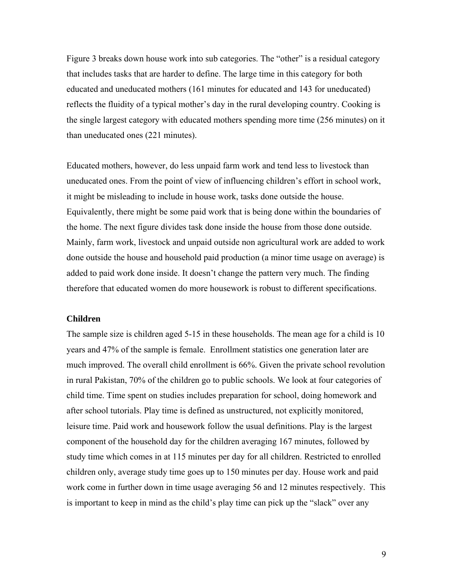Figure 3 breaks down house work into sub categories. The "other" is a residual category that includes tasks that are harder to define. The large time in this category for both educated and uneducated mothers (161 minutes for educated and 143 for uneducated) reflects the fluidity of a typical mother's day in the rural developing country. Cooking is the single largest category with educated mothers spending more time (256 minutes) on it than uneducated ones (221 minutes).

Educated mothers, however, do less unpaid farm work and tend less to livestock than uneducated ones. From the point of view of influencing children's effort in school work, it might be misleading to include in house work, tasks done outside the house. Equivalently, there might be some paid work that is being done within the boundaries of the home. The next figure divides task done inside the house from those done outside. Mainly, farm work, livestock and unpaid outside non agricultural work are added to work done outside the house and household paid production (a minor time usage on average) is added to paid work done inside. It doesn't change the pattern very much. The finding therefore that educated women do more housework is robust to different specifications.

#### **Children**

The sample size is children aged 5-15 in these households. The mean age for a child is 10 years and 47% of the sample is female. Enrollment statistics one generation later are much improved. The overall child enrollment is 66%. Given the private school revolution in rural Pakistan, 70% of the children go to public schools. We look at four categories of child time. Time spent on studies includes preparation for school, doing homework and after school tutorials. Play time is defined as unstructured, not explicitly monitored, leisure time. Paid work and housework follow the usual definitions. Play is the largest component of the household day for the children averaging 167 minutes, followed by study time which comes in at 115 minutes per day for all children. Restricted to enrolled children only, average study time goes up to 150 minutes per day. House work and paid work come in further down in time usage averaging 56 and 12 minutes respectively. This is important to keep in mind as the child's play time can pick up the "slack" over any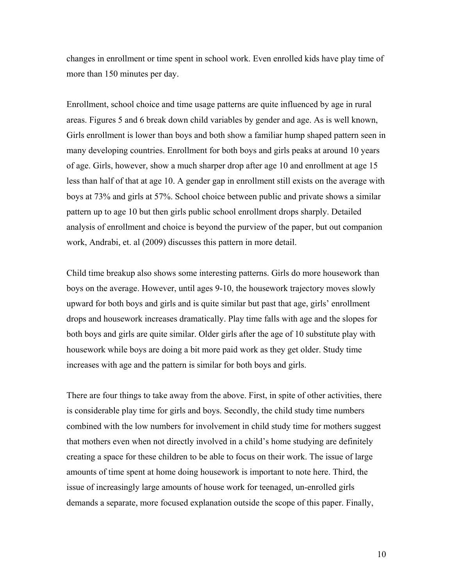changes in enrollment or time spent in school work. Even enrolled kids have play time of more than 150 minutes per day.

Enrollment, school choice and time usage patterns are quite influenced by age in rural areas. Figures 5 and 6 break down child variables by gender and age. As is well known, Girls enrollment is lower than boys and both show a familiar hump shaped pattern seen in many developing countries. Enrollment for both boys and girls peaks at around 10 years of age. Girls, however, show a much sharper drop after age 10 and enrollment at age 15 less than half of that at age 10. A gender gap in enrollment still exists on the average with boys at 73% and girls at 57%. School choice between public and private shows a similar pattern up to age 10 but then girls public school enrollment drops sharply. Detailed analysis of enrollment and choice is beyond the purview of the paper, but out companion work, Andrabi, et. al (2009) discusses this pattern in more detail.

Child time breakup also shows some interesting patterns. Girls do more housework than boys on the average. However, until ages 9-10, the housework trajectory moves slowly upward for both boys and girls and is quite similar but past that age, girls' enrollment drops and housework increases dramatically. Play time falls with age and the slopes for both boys and girls are quite similar. Older girls after the age of 10 substitute play with housework while boys are doing a bit more paid work as they get older. Study time increases with age and the pattern is similar for both boys and girls.

There are four things to take away from the above. First, in spite of other activities, there is considerable play time for girls and boys. Secondly, the child study time numbers combined with the low numbers for involvement in child study time for mothers suggest that mothers even when not directly involved in a child's home studying are definitely creating a space for these children to be able to focus on their work. The issue of large amounts of time spent at home doing housework is important to note here. Third, the issue of increasingly large amounts of house work for teenaged, un-enrolled girls demands a separate, more focused explanation outside the scope of this paper. Finally,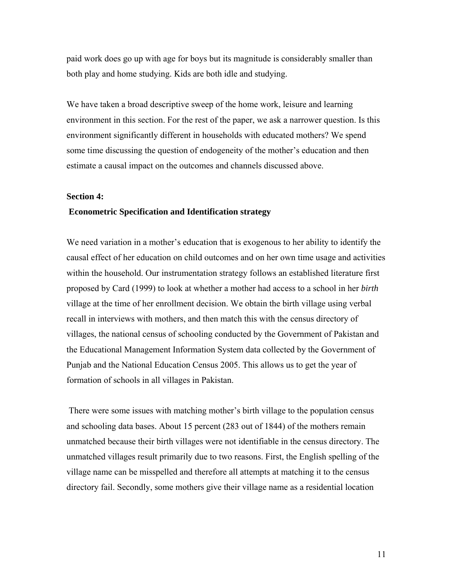paid work does go up with age for boys but its magnitude is considerably smaller than both play and home studying. Kids are both idle and studying.

We have taken a broad descriptive sweep of the home work, leisure and learning environment in this section. For the rest of the paper, we ask a narrower question. Is this environment significantly different in households with educated mothers? We spend some time discussing the question of endogeneity of the mother's education and then estimate a causal impact on the outcomes and channels discussed above.

### **Section 4:**

### **Econometric Specification and Identification strategy**

We need variation in a mother's education that is exogenous to her ability to identify the causal effect of her education on child outcomes and on her own time usage and activities within the household. Our instrumentation strategy follows an established literature first proposed by Card (1999) to look at whether a mother had access to a school in her *birth* village at the time of her enrollment decision. We obtain the birth village using verbal recall in interviews with mothers, and then match this with the census directory of villages, the national census of schooling conducted by the Government of Pakistan and the Educational Management Information System data collected by the Government of Punjab and the National Education Census 2005. This allows us to get the year of formation of schools in all villages in Pakistan.

 There were some issues with matching mother's birth village to the population census and schooling data bases. About 15 percent (283 out of 1844) of the mothers remain unmatched because their birth villages were not identifiable in the census directory. The unmatched villages result primarily due to two reasons. First, the English spelling of the village name can be misspelled and therefore all attempts at matching it to the census directory fail. Secondly, some mothers give their village name as a residential location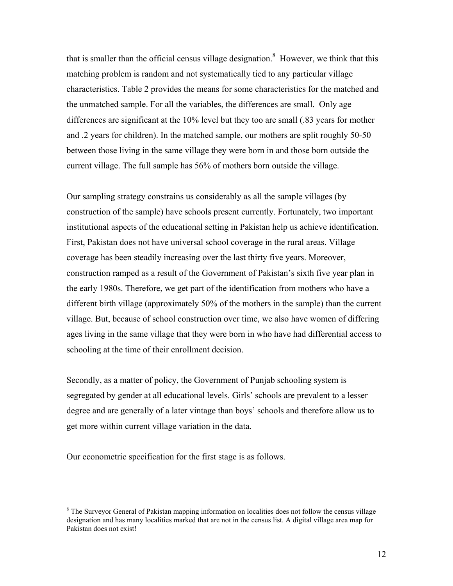that is smaller than the official census village designation.<sup>8</sup> However, we think that this matching problem is random and not systematically tied to any particular village characteristics. Table 2 provides the means for some characteristics for the matched and the unmatched sample. For all the variables, the differences are small. Only age differences are significant at the 10% level but they too are small (.83 years for mother and .2 years for children). In the matched sample, our mothers are split roughly 50-50 between those living in the same village they were born in and those born outside the current village. The full sample has 56% of mothers born outside the village.

Our sampling strategy constrains us considerably as all the sample villages (by construction of the sample) have schools present currently. Fortunately, two important institutional aspects of the educational setting in Pakistan help us achieve identification. First, Pakistan does not have universal school coverage in the rural areas. Village coverage has been steadily increasing over the last thirty five years. Moreover, construction ramped as a result of the Government of Pakistan's sixth five year plan in the early 1980s. Therefore, we get part of the identification from mothers who have a different birth village (approximately 50% of the mothers in the sample) than the current village. But, because of school construction over time, we also have women of differing ages living in the same village that they were born in who have had differential access to schooling at the time of their enrollment decision.

Secondly, as a matter of policy, the Government of Punjab schooling system is segregated by gender at all educational levels. Girls' schools are prevalent to a lesser degree and are generally of a later vintage than boys' schools and therefore allow us to get more within current village variation in the data.

Our econometric specification for the first stage is as follows.

 $\overline{a}$ 

<sup>&</sup>lt;sup>8</sup> The Surveyor General of Pakistan mapping information on localities does not follow the census village designation and has many localities marked that are not in the census list. A digital village area map for Pakistan does not exist!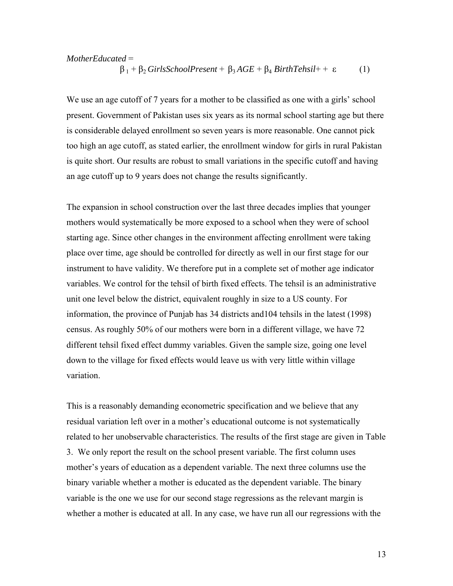### *MotherEducated* = β<sup>1</sup> + β2 *GirlsSchoolPresent* + β3 *AGE* + β<sup>4</sup> *BirthTehsil*+ + ε (1)

We use an age cutoff of 7 years for a mother to be classified as one with a girls' school present. Government of Pakistan uses six years as its normal school starting age but there is considerable delayed enrollment so seven years is more reasonable. One cannot pick too high an age cutoff, as stated earlier, the enrollment window for girls in rural Pakistan is quite short. Our results are robust to small variations in the specific cutoff and having an age cutoff up to 9 years does not change the results significantly.

The expansion in school construction over the last three decades implies that younger mothers would systematically be more exposed to a school when they were of school starting age. Since other changes in the environment affecting enrollment were taking place over time, age should be controlled for directly as well in our first stage for our instrument to have validity. We therefore put in a complete set of mother age indicator variables. We control for the tehsil of birth fixed effects. The tehsil is an administrative unit one level below the district, equivalent roughly in size to a US county. For information, the province of Punjab has 34 districts and104 tehsils in the latest (1998) census. As roughly 50% of our mothers were born in a different village, we have 72 different tehsil fixed effect dummy variables. Given the sample size, going one level down to the village for fixed effects would leave us with very little within village variation.

This is a reasonably demanding econometric specification and we believe that any residual variation left over in a mother's educational outcome is not systematically related to her unobservable characteristics. The results of the first stage are given in Table 3. We only report the result on the school present variable. The first column uses mother's years of education as a dependent variable. The next three columns use the binary variable whether a mother is educated as the dependent variable. The binary variable is the one we use for our second stage regressions as the relevant margin is whether a mother is educated at all. In any case, we have run all our regressions with the

13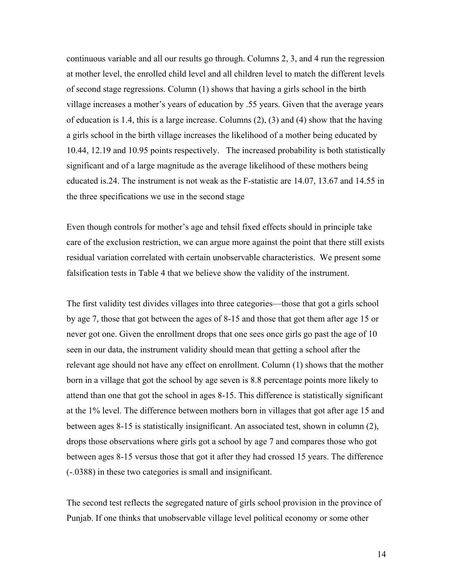continuous variable and all our results go through. Columns 2, 3, and 4 run the regression at mother level, the enrolled child level and all children level to match the different levels of second stage regressions. Column (1) shows that having a girls school in the birth village increases a mother's years of education by .55 years. Given that the average years of education is 1.4, this is a large increase. Columns (2), (3) and (4) show that the having a girls school in the birth village increases the likelihood of a mother being educated by 10.44, 12.19 and 10.95 points respectively. The increased probability is both statistically significant and of a large magnitude as the average likelihood of these mothers being educated is.24. The instrument is not weak as the F-statistic are 14.07, 13.67 and 14.55 in the three specifications we use in the second stage

Even though controls for mother's age and tehsil fixed effects should in principle take care of the exclusion restriction, we can argue more against the point that there still exists residual variation correlated with certain unobservable characteristics. We present some falsification tests in Table 4 that we believe show the validity of the instrument.

The first validity test divides villages into three categories—those that got a girls school by age 7, those that got between the ages of 8-15 and those that got them after age 15 or never got one. Given the enrollment drops that one sees once girls go past the age of 10 seen in our data, the instrument validity should mean that getting a school after the relevant age should not have any effect on enrollment. Column (1) shows that the mother born in a village that got the school by age seven is 8.8 percentage points more likely to attend than one that got the school in ages 8-15. This difference is statistically significant at the 1% level. The difference between mothers born in villages that got after age 15 and between ages 8-15 is statistically insignificant. An associated test, shown in column (2), drops those observations where girls got a school by age 7 and compares those who got between ages 8-15 versus those that got it after they had crossed 15 years. The difference (-.0388) in these two categories is small and insignificant.

The second test reflects the segregated nature of girls school provision in the province of Punjab. If one thinks that unobservable village level political economy or some other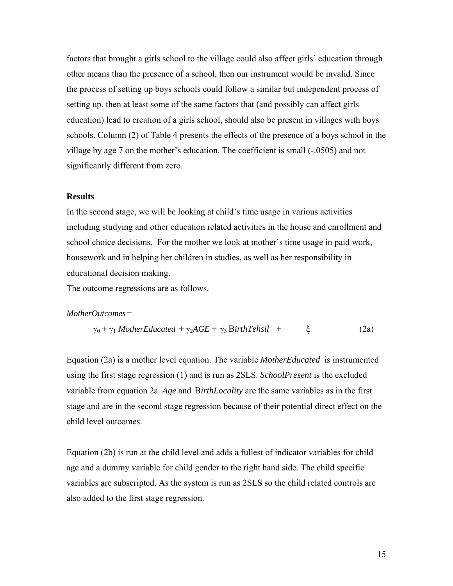factors that brought a girls school to the village could also affect girls' education through other means than the presence of a school, then our instrument would be invalid. Since the process of setting up boys schools could follow a similar but independent process of setting up, then at least some of the same factors that (and possibly can affect girls education) lead to creation of a girls school, should also be present in villages with boys schools. Column (2) of Table 4 presents the effects of the presence of a boys school in the village by age 7 on the mother's education. The coefficient is small (-.0505) and not significantly different from zero.

### **Results**

In the second stage, we will be looking at child's time usage in various activities including studying and other education related activities in the house and enrollment and school choice decisions. For the mother we look at mother's time usage in paid work, housework and in helping her children in studies, as well as her responsibility in educational decision making.

The outcome regressions are as follows.

#### *MotherOutcomes* =

$$
\gamma_0 + \gamma_1 \text{ MotherEduced} + \gamma_2 AGE + \gamma_3 \text{BirthTehsil} + \xi \tag{2a}
$$

Equation (2a) is a mother level equation. The variable *MotherEducated* is instrumented using the first stage regression (1) and is run as 2SLS. *SchoolPresent* is the excluded variable from equation 2a. *Age* and B*irthLocality* are the same variables as in the first stage and are in the second stage regression because of their potential direct effect on the child level outcomes.

Equation (2b) is run at the child level and adds a fullest of indicator variables for child age and a dummy variable for child gender to the right hand side. The child specific variables are subscripted. As the system is run as 2SLS so the child related controls are also added to the first stage regression.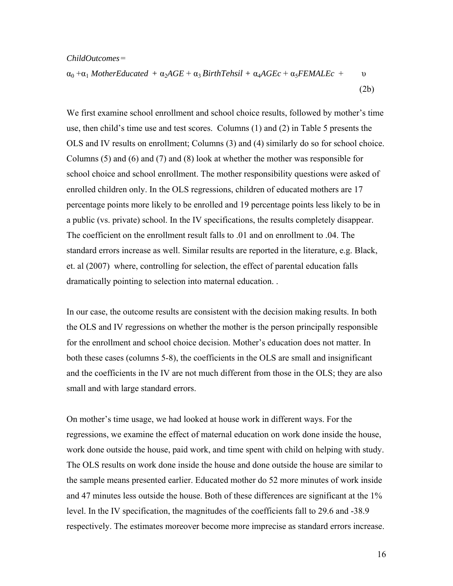#### *ChildOutcomes* =

$$
\alpha_0 + \alpha_1 \text{ MotherEduced} + \alpha_2 AGE + \alpha_3 \text{BirthTehsil} + \alpha_4 AGEc + \alpha_5 FEMALEc + \upsilon
$$
\n
$$
(2b)
$$

We first examine school enrollment and school choice results, followed by mother's time use, then child's time use and test scores. Columns (1) and (2) in Table 5 presents the OLS and IV results on enrollment; Columns (3) and (4) similarly do so for school choice. Columns (5) and (6) and (7) and (8) look at whether the mother was responsible for school choice and school enrollment. The mother responsibility questions were asked of enrolled children only. In the OLS regressions, children of educated mothers are 17 percentage points more likely to be enrolled and 19 percentage points less likely to be in a public (vs. private) school. In the IV specifications, the results completely disappear. The coefficient on the enrollment result falls to .01 and on enrollment to .04. The standard errors increase as well. Similar results are reported in the literature, e.g. Black, et. al (2007) where, controlling for selection, the effect of parental education falls dramatically pointing to selection into maternal education. .

In our case, the outcome results are consistent with the decision making results. In both the OLS and IV regressions on whether the mother is the person principally responsible for the enrollment and school choice decision. Mother's education does not matter. In both these cases (columns 5-8), the coefficients in the OLS are small and insignificant and the coefficients in the IV are not much different from those in the OLS; they are also small and with large standard errors.

On mother's time usage, we had looked at house work in different ways. For the regressions, we examine the effect of maternal education on work done inside the house, work done outside the house, paid work, and time spent with child on helping with study. The OLS results on work done inside the house and done outside the house are similar to the sample means presented earlier. Educated mother do 52 more minutes of work inside and 47 minutes less outside the house. Both of these differences are significant at the 1% level. In the IV specification, the magnitudes of the coefficients fall to 29.6 and -38.9 respectively. The estimates moreover become more imprecise as standard errors increase.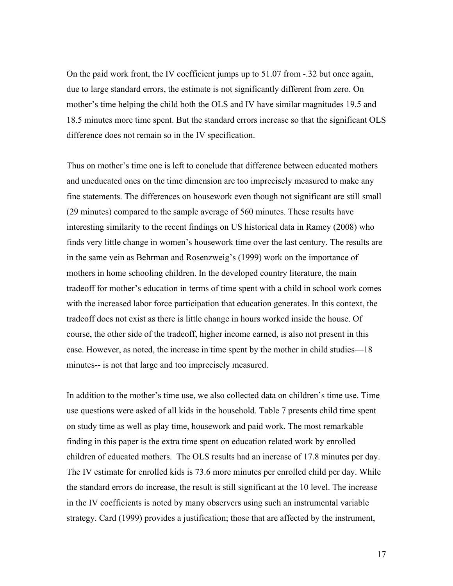On the paid work front, the IV coefficient jumps up to 51.07 from -.32 but once again, due to large standard errors, the estimate is not significantly different from zero. On mother's time helping the child both the OLS and IV have similar magnitudes 19.5 and 18.5 minutes more time spent. But the standard errors increase so that the significant OLS difference does not remain so in the IV specification.

Thus on mother's time one is left to conclude that difference between educated mothers and uneducated ones on the time dimension are too imprecisely measured to make any fine statements. The differences on housework even though not significant are still small (29 minutes) compared to the sample average of 560 minutes. These results have interesting similarity to the recent findings on US historical data in Ramey (2008) who finds very little change in women's housework time over the last century. The results are in the same vein as Behrman and Rosenzweig's (1999) work on the importance of mothers in home schooling children. In the developed country literature, the main tradeoff for mother's education in terms of time spent with a child in school work comes with the increased labor force participation that education generates. In this context, the tradeoff does not exist as there is little change in hours worked inside the house. Of course, the other side of the tradeoff, higher income earned, is also not present in this case. However, as noted, the increase in time spent by the mother in child studies—18 minutes-- is not that large and too imprecisely measured.

In addition to the mother's time use, we also collected data on children's time use. Time use questions were asked of all kids in the household. Table 7 presents child time spent on study time as well as play time, housework and paid work. The most remarkable finding in this paper is the extra time spent on education related work by enrolled children of educated mothers. The OLS results had an increase of 17.8 minutes per day. The IV estimate for enrolled kids is 73.6 more minutes per enrolled child per day. While the standard errors do increase, the result is still significant at the 10 level. The increase in the IV coefficients is noted by many observers using such an instrumental variable strategy. Card (1999) provides a justification; those that are affected by the instrument,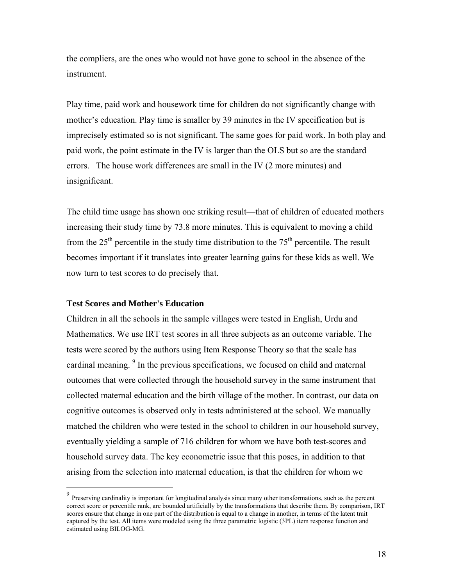the compliers, are the ones who would not have gone to school in the absence of the instrument.

Play time, paid work and housework time for children do not significantly change with mother's education. Play time is smaller by 39 minutes in the IV specification but is imprecisely estimated so is not significant. The same goes for paid work. In both play and paid work, the point estimate in the IV is larger than the OLS but so are the standard errors. The house work differences are small in the IV (2 more minutes) and insignificant.

The child time usage has shown one striking result—that of children of educated mothers increasing their study time by 73.8 more minutes. This is equivalent to moving a child from the  $25<sup>th</sup>$  percentile in the study time distribution to the  $75<sup>th</sup>$  percentile. The result becomes important if it translates into greater learning gains for these kids as well. We now turn to test scores to do precisely that.

### **Test Scores and Mother's Education**

1

Children in all the schools in the sample villages were tested in English, Urdu and Mathematics. We use IRT test scores in all three subjects as an outcome variable. The tests were scored by the authors using Item Response Theory so that the scale has cardinal meaning.<sup>9</sup> In the previous specifications, we focused on child and maternal outcomes that were collected through the household survey in the same instrument that collected maternal education and the birth village of the mother. In contrast, our data on cognitive outcomes is observed only in tests administered at the school. We manually matched the children who were tested in the school to children in our household survey, eventually yielding a sample of 716 children for whom we have both test-scores and household survey data. The key econometric issue that this poses, in addition to that arising from the selection into maternal education, is that the children for whom we

<sup>&</sup>lt;sup>9</sup> Preserving cardinality is important for longitudinal analysis since many other transformations, such as the percent correct score or percentile rank, are bounded artificially by the transformations that describe them. By comparison, IRT scores ensure that change in one part of the distribution is equal to a change in another, in terms of the latent trait captured by the test. All items were modeled using the three parametric logistic (3PL) item response function and estimated using BILOG-MG.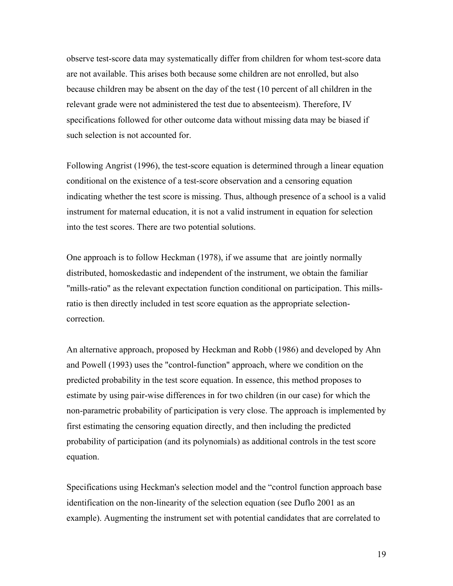observe test-score data may systematically differ from children for whom test-score data are not available. This arises both because some children are not enrolled, but also because children may be absent on the day of the test (10 percent of all children in the relevant grade were not administered the test due to absenteeism). Therefore, IV specifications followed for other outcome data without missing data may be biased if such selection is not accounted for.

Following Angrist (1996), the test-score equation is determined through a linear equation conditional on the existence of a test-score observation and a censoring equation indicating whether the test score is missing. Thus, although presence of a school is a valid instrument for maternal education, it is not a valid instrument in equation for selection into the test scores. There are two potential solutions.

One approach is to follow Heckman (1978), if we assume that are jointly normally distributed, homoskedastic and independent of the instrument, we obtain the familiar "mills-ratio" as the relevant expectation function conditional on participation. This millsratio is then directly included in test score equation as the appropriate selectioncorrection.

An alternative approach, proposed by Heckman and Robb (1986) and developed by Ahn and Powell (1993) uses the "control-function" approach, where we condition on the predicted probability in the test score equation. In essence, this method proposes to estimate by using pair-wise differences in for two children (in our case) for which the non-parametric probability of participation is very close. The approach is implemented by first estimating the censoring equation directly, and then including the predicted probability of participation (and its polynomials) as additional controls in the test score equation.

Specifications using Heckman's selection model and the "control function approach base identification on the non-linearity of the selection equation (see Duflo 2001 as an example). Augmenting the instrument set with potential candidates that are correlated to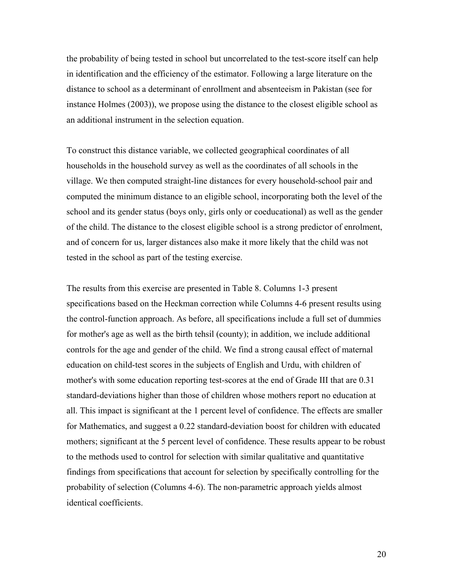the probability of being tested in school but uncorrelated to the test-score itself can help in identification and the efficiency of the estimator. Following a large literature on the distance to school as a determinant of enrollment and absenteeism in Pakistan (see for instance Holmes (2003)), we propose using the distance to the closest eligible school as an additional instrument in the selection equation.

To construct this distance variable, we collected geographical coordinates of all households in the household survey as well as the coordinates of all schools in the village. We then computed straight-line distances for every household-school pair and computed the minimum distance to an eligible school, incorporating both the level of the school and its gender status (boys only, girls only or coeducational) as well as the gender of the child. The distance to the closest eligible school is a strong predictor of enrolment, and of concern for us, larger distances also make it more likely that the child was not tested in the school as part of the testing exercise.

The results from this exercise are presented in Table 8. Columns 1-3 present specifications based on the Heckman correction while Columns 4-6 present results using the control-function approach. As before, all specifications include a full set of dummies for mother's age as well as the birth tehsil (county); in addition, we include additional controls for the age and gender of the child. We find a strong causal effect of maternal education on child-test scores in the subjects of English and Urdu, with children of mother's with some education reporting test-scores at the end of Grade III that are 0.31 standard-deviations higher than those of children whose mothers report no education at all. This impact is significant at the 1 percent level of confidence. The effects are smaller for Mathematics, and suggest a 0.22 standard-deviation boost for children with educated mothers; significant at the 5 percent level of confidence. These results appear to be robust to the methods used to control for selection with similar qualitative and quantitative findings from specifications that account for selection by specifically controlling for the probability of selection (Columns 4-6). The non-parametric approach yields almost identical coefficients.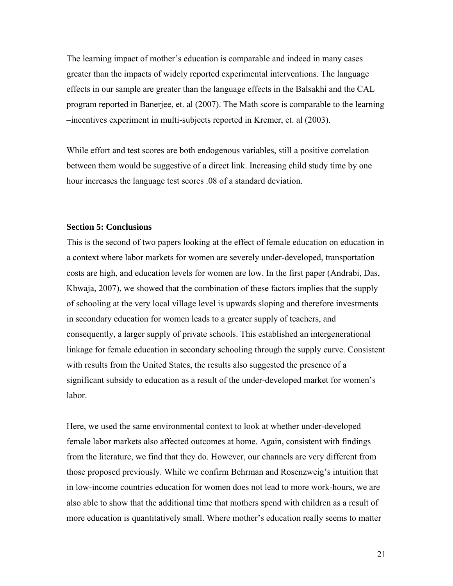The learning impact of mother's education is comparable and indeed in many cases greater than the impacts of widely reported experimental interventions. The language effects in our sample are greater than the language effects in the Balsakhi and the CAL program reported in Banerjee, et. al (2007). The Math score is comparable to the learning –incentives experiment in multi-subjects reported in Kremer, et. al (2003).

While effort and test scores are both endogenous variables, still a positive correlation between them would be suggestive of a direct link. Increasing child study time by one hour increases the language test scores .08 of a standard deviation.

### **Section 5: Conclusions**

This is the second of two papers looking at the effect of female education on education in a context where labor markets for women are severely under-developed, transportation costs are high, and education levels for women are low. In the first paper (Andrabi, Das, Khwaja, 2007), we showed that the combination of these factors implies that the supply of schooling at the very local village level is upwards sloping and therefore investments in secondary education for women leads to a greater supply of teachers, and consequently, a larger supply of private schools. This established an intergenerational linkage for female education in secondary schooling through the supply curve. Consistent with results from the United States, the results also suggested the presence of a significant subsidy to education as a result of the under-developed market for women's labor.

Here, we used the same environmental context to look at whether under-developed female labor markets also affected outcomes at home. Again, consistent with findings from the literature, we find that they do. However, our channels are very different from those proposed previously. While we confirm Behrman and Rosenzweig's intuition that in low-income countries education for women does not lead to more work-hours, we are also able to show that the additional time that mothers spend with children as a result of more education is quantitatively small. Where mother's education really seems to matter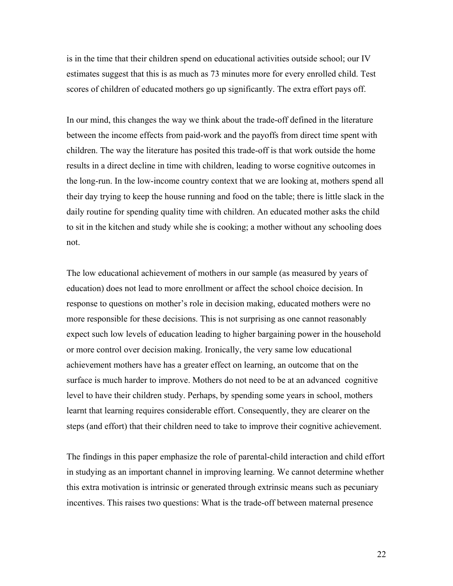is in the time that their children spend on educational activities outside school; our IV estimates suggest that this is as much as 73 minutes more for every enrolled child. Test scores of children of educated mothers go up significantly. The extra effort pays off.

In our mind, this changes the way we think about the trade-off defined in the literature between the income effects from paid-work and the payoffs from direct time spent with children. The way the literature has posited this trade-off is that work outside the home results in a direct decline in time with children, leading to worse cognitive outcomes in the long-run. In the low-income country context that we are looking at, mothers spend all their day trying to keep the house running and food on the table; there is little slack in the daily routine for spending quality time with children. An educated mother asks the child to sit in the kitchen and study while she is cooking; a mother without any schooling does not.

The low educational achievement of mothers in our sample (as measured by years of education) does not lead to more enrollment or affect the school choice decision. In response to questions on mother's role in decision making, educated mothers were no more responsible for these decisions. This is not surprising as one cannot reasonably expect such low levels of education leading to higher bargaining power in the household or more control over decision making. Ironically, the very same low educational achievement mothers have has a greater effect on learning, an outcome that on the surface is much harder to improve. Mothers do not need to be at an advanced cognitive level to have their children study. Perhaps, by spending some years in school, mothers learnt that learning requires considerable effort. Consequently, they are clearer on the steps (and effort) that their children need to take to improve their cognitive achievement.

The findings in this paper emphasize the role of parental-child interaction and child effort in studying as an important channel in improving learning. We cannot determine whether this extra motivation is intrinsic or generated through extrinsic means such as pecuniary incentives. This raises two questions: What is the trade-off between maternal presence

22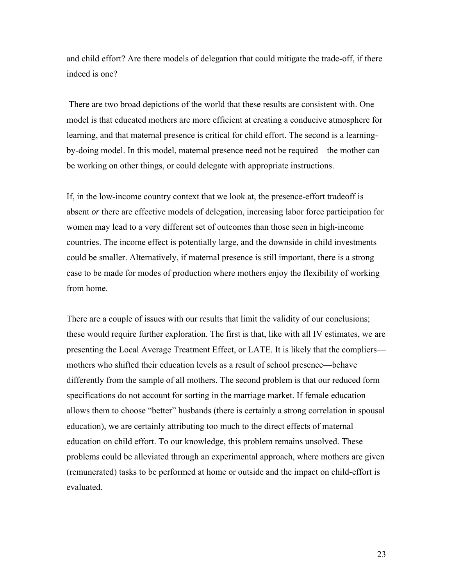and child effort? Are there models of delegation that could mitigate the trade-off, if there indeed is one?

 There are two broad depictions of the world that these results are consistent with. One model is that educated mothers are more efficient at creating a conducive atmosphere for learning, and that maternal presence is critical for child effort. The second is a learningby-doing model. In this model, maternal presence need not be required—the mother can be working on other things, or could delegate with appropriate instructions.

If, in the low-income country context that we look at, the presence-effort tradeoff is absent *or* there are effective models of delegation, increasing labor force participation for women may lead to a very different set of outcomes than those seen in high-income countries. The income effect is potentially large, and the downside in child investments could be smaller. Alternatively, if maternal presence is still important, there is a strong case to be made for modes of production where mothers enjoy the flexibility of working from home.

There are a couple of issues with our results that limit the validity of our conclusions; these would require further exploration. The first is that, like with all IV estimates, we are presenting the Local Average Treatment Effect, or LATE. It is likely that the compliers mothers who shifted their education levels as a result of school presence—behave differently from the sample of all mothers. The second problem is that our reduced form specifications do not account for sorting in the marriage market. If female education allows them to choose "better" husbands (there is certainly a strong correlation in spousal education), we are certainly attributing too much to the direct effects of maternal education on child effort. To our knowledge, this problem remains unsolved. These problems could be alleviated through an experimental approach, where mothers are given (remunerated) tasks to be performed at home or outside and the impact on child-effort is evaluated.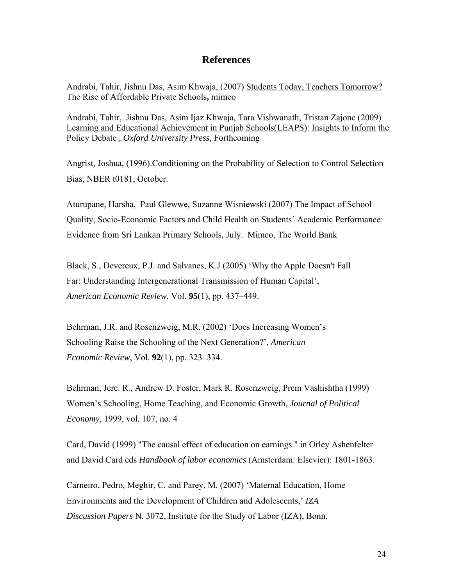### **References**

Andrabi, Tahir, Jishnu Das, Asim Khwaja, (2007) Students Today, Teachers Tomorrow? The Rise of Affordable Private Schools**,** mimeo

Andrabi, Tahir, Jishnu Das, Asim Ijaz Khwaja, Tara Vishwanath, Tristan Zajonc (2009) Learning and Educational Achievement in Punjab Schools(LEAPS): Insights to Inform the Policy Debate *, Oxford University Press,* Forthcoming

Angrist, Joshua, (1996).Conditioning on the Probability of Selection to Control Selection Bias, NBER t0181, October.

Aturupane, Harsha, Paul Glewwe, Suzanne Wisniewski (2007) The Impact of School Quality, Socio-Economic Factors and Child Health on Students' Academic Performance: Evidence from Sri Lankan Primary Schools, July. Mimeo, The World Bank

Black, S., Devereux, P.J. and Salvanes, K.J (2005) 'Why the Apple Doesn't Fall Far: Understanding Intergenerational Transmission of Human Capital', *American Economic Review*, Vol. **95**(1), pp. 437–449.

Behrman, J.R. and Rosenzweig, M.R. (2002) 'Does Increasing Women's Schooling Raise the Schooling of the Next Generation?', *American Economic Review*, Vol. **92**(1), pp. 323–334.

Behrman, Jere. R., Andrew D. Foster, Mark R. Rosenzweig, Prem Vashishtha (1999) Women's Schooling, Home Teaching, and Economic Growth, *Journal of Political Economy*, 1999, vol. 107, no. 4

Card, David (1999) "The causal effect of education on earnings." in Orley Ashenfelter and David Card eds *Handbook of labor economics* (Amsterdam: Elsevier): 1801-1863.

Carneiro, Pedro, Meghir, C. and Parey, M. (2007) 'Maternal Education, Home Environments and the Development of Children and Adolescents,' *IZA Discussion Papers* N. 3072, Institute for the Study of Labor (IZA), Bonn.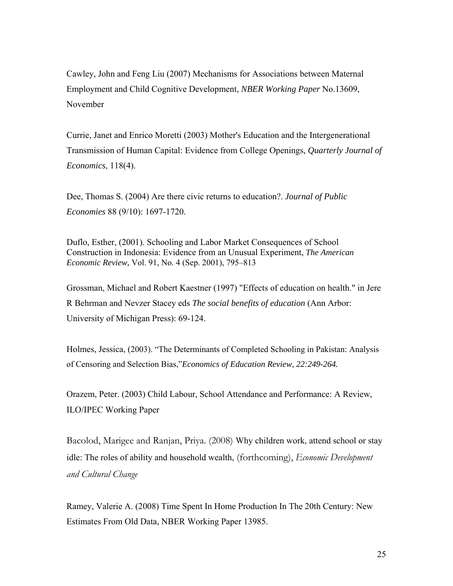Cawley, John and Feng Liu (2007) Mechanisms for Associations between Maternal Employment and Child Cognitive Development, *NBER Working Paper* No.13609, November

Currie, Janet and Enrico Moretti (2003) Mother's Education and the Intergenerational Transmission of Human Capital: Evidence from College Openings, *Quarterly Journal of Economics*, 118(4).

Dee, Thomas S. (2004) Are there civic returns to education?. *Journal of Public Economies* 88 (9/10): 1697-1720.

Duflo, Esther, (2001). Schooling and Labor Market Consequences of School Construction in Indonesia: Evidence from an Unusual Experiment, *The American Economic Review,* Vol. 91, No. 4 (Sep. 2001), 795–813

Grossman, Michael and Robert Kaestner (1997) "Effects of education on health." in Jere R Behrman and Nevzer Stacey eds *The social benefits of education* (Ann Arbor: University of Michigan Press): 69-124.

Holmes, Jessica, (2003). "The Determinants of Completed Schooling in Pakistan: Analysis of Censoring and Selection Bias,"*Economics of Education Review, 22:249-264.* 

Orazem, Peter. (2003) Child Labour, School Attendance and Performance: A Review, ILO/IPEC Working Paper

Bacolod, Marigee and Ranjan, Priya. (2008) Why children work, attend school or stay idle: The roles of ability and household wealth, (forthcoming), *Economic Development and Cultural Change*

Ramey, Valerie A. (2008) Time Spent In Home Production In The 20th Century: New Estimates From Old Data, NBER Working Paper 13985.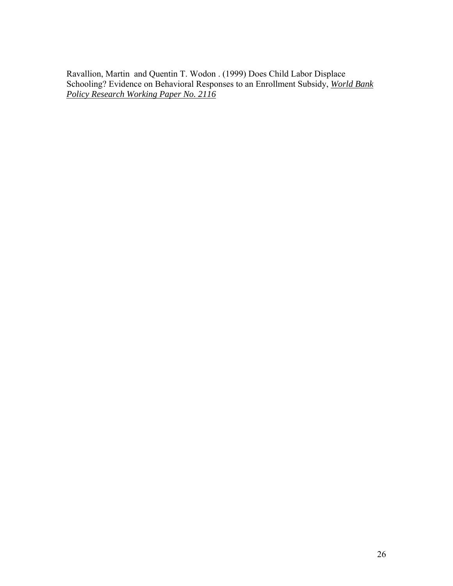Ravallion, Martin and Quentin T. Wodon . (1999) Does Child Labor Displace Schooling? Evidence on Behavioral Responses to an Enrollment Subsidy, *World Bank Policy Research Working Paper No. 2116*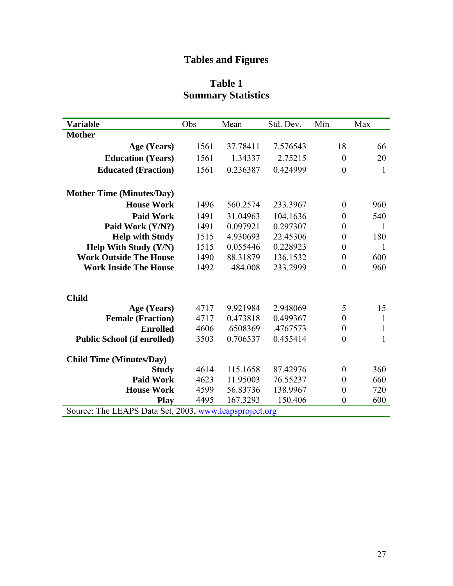# **Tables and Figures**

## **Table 1 Summary Statistics**

| <b>Variable</b>                                        | Obs  | Mean     | Std. Dev. | Min              | Max          |  |  |
|--------------------------------------------------------|------|----------|-----------|------------------|--------------|--|--|
| <b>Mother</b>                                          |      |          |           |                  |              |  |  |
| Age (Years)                                            | 1561 | 37.78411 | 7.576543  | 18               | 66           |  |  |
| <b>Education (Years)</b>                               | 1561 | 1.34337  | 2.75215   | $\boldsymbol{0}$ | 20           |  |  |
| <b>Educated (Fraction)</b>                             | 1561 | 0.236387 | 0.424999  | $\boldsymbol{0}$ | 1            |  |  |
| <b>Mother Time (Minutes/Day)</b>                       |      |          |           |                  |              |  |  |
| <b>House Work</b>                                      | 1496 | 560.2574 | 233.3967  | $\theta$         | 960          |  |  |
| <b>Paid Work</b>                                       | 1491 | 31.04963 | 104.1636  | $\boldsymbol{0}$ | 540          |  |  |
| Paid Work (Y/N?)                                       | 1491 | 0.097921 | 0.297307  | $\boldsymbol{0}$ | 1            |  |  |
| <b>Help with Study</b>                                 | 1515 | 4.930693 | 22.45306  | $\boldsymbol{0}$ | 180          |  |  |
| Help With Study (Y/N)                                  | 1515 | 0.055446 | 0.228923  | $\boldsymbol{0}$ | 1            |  |  |
| <b>Work Outside The House</b>                          | 1490 | 88.31879 | 136.1532  | $\boldsymbol{0}$ | 600          |  |  |
| <b>Work Inside The House</b>                           | 1492 | 484.008  | 233.2999  | $\boldsymbol{0}$ | 960          |  |  |
| <b>Child</b>                                           |      |          |           |                  |              |  |  |
| Age (Years)                                            | 4717 | 9.921984 | 2.948069  | 5                | 15           |  |  |
| <b>Female (Fraction)</b>                               | 4717 | 0.473818 | 0.499367  | $\boldsymbol{0}$ | 1            |  |  |
| <b>Enrolled</b>                                        | 4606 | .6508369 | .4767573  | $\boldsymbol{0}$ | 1            |  |  |
| <b>Public School (if enrolled)</b>                     | 3503 | 0.706537 | 0.455414  | $\boldsymbol{0}$ | $\mathbf{1}$ |  |  |
| <b>Child Time (Minutes/Day)</b>                        |      |          |           |                  |              |  |  |
| <b>Study</b>                                           | 4614 | 115.1658 | 87.42976  | $\boldsymbol{0}$ | 360          |  |  |
| <b>Paid Work</b>                                       | 4623 | 11.95003 | 76.55237  | $\boldsymbol{0}$ | 660          |  |  |
| <b>House Work</b>                                      | 4599 | 56.83736 | 138.9967  | $\boldsymbol{0}$ | 720          |  |  |
| <b>Play</b>                                            | 4495 | 167.3293 | 150.406   | $\boldsymbol{0}$ | 600          |  |  |
| Source: The LEAPS Data Set, 2003, www.leapsproject.org |      |          |           |                  |              |  |  |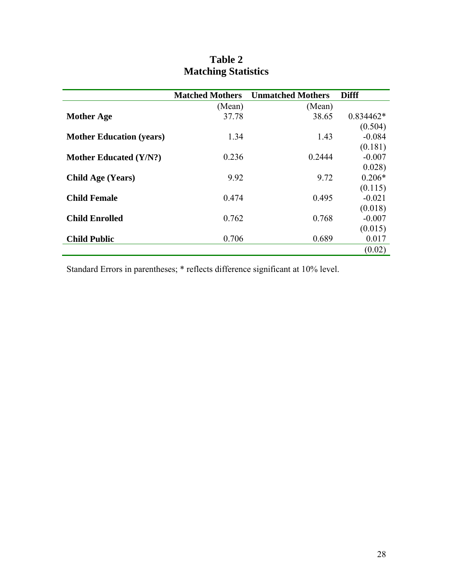|                                 | <b>Matched Mothers</b> | <b>Unmatched Mothers</b> | <b>Difff</b> |
|---------------------------------|------------------------|--------------------------|--------------|
|                                 | (Mean)                 | (Mean)                   |              |
| <b>Mother Age</b>               | 37.78                  | 38.65                    | $0.834462*$  |
|                                 |                        |                          | (0.504)      |
| <b>Mother Education (years)</b> | 1.34                   | 1.43                     | $-0.084$     |
|                                 |                        |                          | (0.181)      |
| <b>Mother Educated (Y/N?)</b>   | 0.236                  | 0.2444                   | $-0.007$     |
|                                 |                        |                          | 0.028)       |
| <b>Child Age (Years)</b>        | 9.92                   | 9.72                     | $0.206*$     |
|                                 |                        |                          | (0.115)      |
| <b>Child Female</b>             | 0.474                  | 0.495                    | $-0.021$     |
|                                 |                        |                          | (0.018)      |
| <b>Child Enrolled</b>           | 0.762                  | 0.768                    | $-0.007$     |
|                                 |                        |                          | (0.015)      |
| <b>Child Public</b>             | 0.706                  | 0.689                    | 0.017        |
|                                 |                        |                          | (0.02)       |

## **Table 2 Matching Statistics**

Standard Errors in parentheses; \* reflects difference significant at 10% level.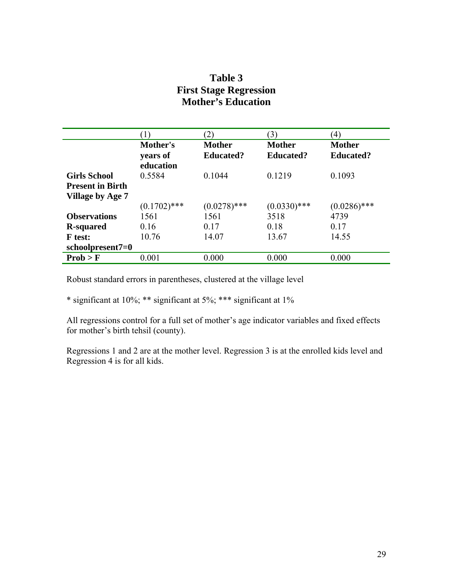### **Table 3 First Stage Regression Mother's Education**

|                                                                    |                                   | (2)                               | $\mathfrak{B}$ )                  | (4)                               |
|--------------------------------------------------------------------|-----------------------------------|-----------------------------------|-----------------------------------|-----------------------------------|
|                                                                    | Mother's<br>years of<br>education | <b>Mother</b><br><b>Educated?</b> | <b>Mother</b><br><b>Educated?</b> | <b>Mother</b><br><b>Educated?</b> |
| <b>Girls School</b><br><b>Present in Birth</b><br>Village by Age 7 | 0.5584                            | 0.1044                            | 0.1219                            | 0.1093                            |
|                                                                    | $(0.1702)$ ***                    | $(0.0278)$ ***                    | $(0.0330)$ ***                    | $(0.0286)$ ***                    |
| <b>Observations</b>                                                | 1561                              | 1561                              | 3518                              | 4739                              |
| <b>R</b> -squared                                                  | 0.16                              | 0.17                              | 0.18                              | 0.17                              |
| <b>F</b> test:                                                     | 10.76                             | 14.07                             | 13.67                             | 14.55                             |
| $schoolpresent7=0$                                                 |                                   |                                   |                                   |                                   |
| Prob > F                                                           | 0.001                             | 0.000                             | 0.000                             | 0.000                             |

Robust standard errors in parentheses, clustered at the village level

\* significant at 10%; \*\* significant at 5%; \*\*\* significant at 1%

All regressions control for a full set of mother's age indicator variables and fixed effects for mother's birth tehsil (county).

Regressions 1 and 2 are at the mother level. Regression 3 is at the enrolled kids level and Regression 4 is for all kids.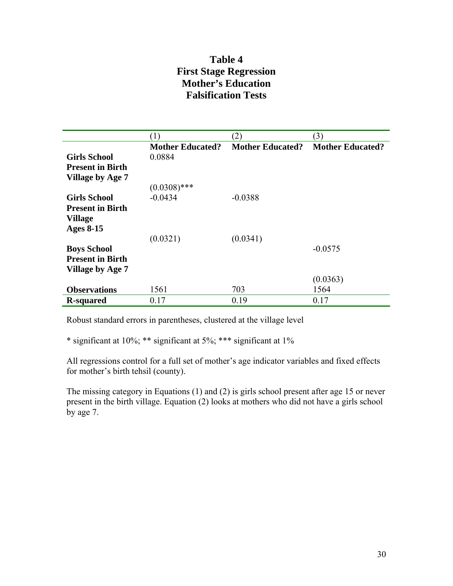### **Table 4 First Stage Regression Mother's Education Falsification Tests**

|                         | (1)                     | (2)                     | (3)                     |
|-------------------------|-------------------------|-------------------------|-------------------------|
|                         | <b>Mother Educated?</b> | <b>Mother Educated?</b> | <b>Mother Educated?</b> |
| <b>Girls School</b>     | 0.0884                  |                         |                         |
| <b>Present in Birth</b> |                         |                         |                         |
| <b>Village by Age 7</b> |                         |                         |                         |
|                         | $(0.0308)$ ***          |                         |                         |
| <b>Girls School</b>     | $-0.0434$               | $-0.0388$               |                         |
| <b>Present in Birth</b> |                         |                         |                         |
| <b>Village</b>          |                         |                         |                         |
| <b>Ages 8-15</b>        |                         |                         |                         |
|                         | (0.0321)                | (0.0341)                |                         |
| <b>Boys School</b>      |                         |                         | $-0.0575$               |
| <b>Present in Birth</b> |                         |                         |                         |
| Village by Age 7        |                         |                         |                         |
|                         |                         |                         | (0.0363)                |
| <b>Observations</b>     | 1561                    | 703                     | 1564                    |
| <b>R-squared</b>        | 0.17                    | 0.19                    | 0.17                    |

Robust standard errors in parentheses, clustered at the village level

\* significant at 10%; \*\* significant at 5%; \*\*\* significant at 1%

All regressions control for a full set of mother's age indicator variables and fixed effects for mother's birth tehsil (county).

The missing category in Equations (1) and (2) is girls school present after age 15 or never present in the birth village. Equation (2) looks at mothers who did not have a girls school by age 7.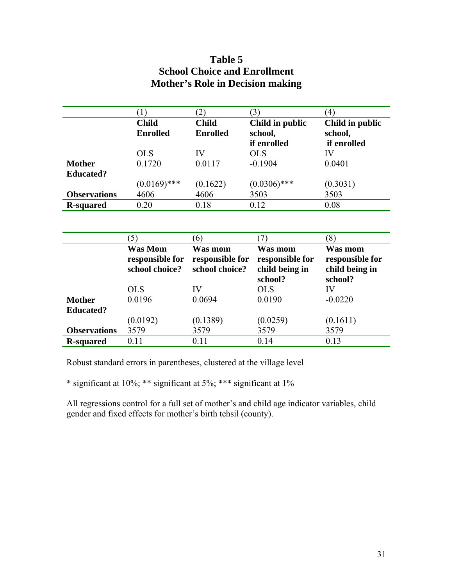## **Table 5 School Choice and Enrollment Mother's Role in Decision making**

|                     |                 |                 |                 | $\left(4\right)$ |
|---------------------|-----------------|-----------------|-----------------|------------------|
|                     | <b>Child</b>    | <b>Child</b>    | Child in public | Child in public  |
|                     | <b>Enrolled</b> | <b>Enrolled</b> | school,         | school,          |
|                     |                 |                 | if enrolled     | if enrolled      |
|                     | <b>OLS</b>      | IV              | <b>OLS</b>      | IV               |
| <b>Mother</b>       | 0.1720          | 0.0117          | $-0.1904$       | 0.0401           |
| <b>Educated?</b>    |                 |                 |                 |                  |
|                     | $(0.0169)$ ***  | (0.1622)        | $(0.0306)$ ***  | (0.3031)         |
| <b>Observations</b> | 4606            | 4606            | 3503            | 3503             |
| <b>R-squared</b>    | 0.20            | 0.18            | 0.12            | 0.08             |

|                     | $\mathfrak{I}$ )                                    | $6^{\circ}$                                  |                                                         | $\left(8\right)$                                        |
|---------------------|-----------------------------------------------------|----------------------------------------------|---------------------------------------------------------|---------------------------------------------------------|
|                     | <b>Was Mom</b><br>responsible for<br>school choice? | Was mom<br>responsible for<br>school choice? | Was mom<br>responsible for<br>child being in<br>school? | Was mom<br>responsible for<br>child being in<br>school? |
|                     | <b>OLS</b>                                          | IV                                           | <b>OLS</b>                                              | IV                                                      |
| <b>Mother</b>       | 0.0196                                              | 0.0694                                       | 0.0190                                                  | $-0.0220$                                               |
| <b>Educated?</b>    |                                                     |                                              |                                                         |                                                         |
|                     | (0.0192)                                            | (0.1389)                                     | (0.0259)                                                | (0.1611)                                                |
| <b>Observations</b> | 3579                                                | 3579                                         | 3579                                                    | 3579                                                    |
| <b>R</b> -squared   | 0.11                                                | 0.11                                         | 0.14                                                    | 0.13                                                    |

Robust standard errors in parentheses, clustered at the village level

\* significant at 10%; \*\* significant at 5%; \*\*\* significant at 1%

All regressions control for a full set of mother's and child age indicator variables, child gender and fixed effects for mother's birth tehsil (county).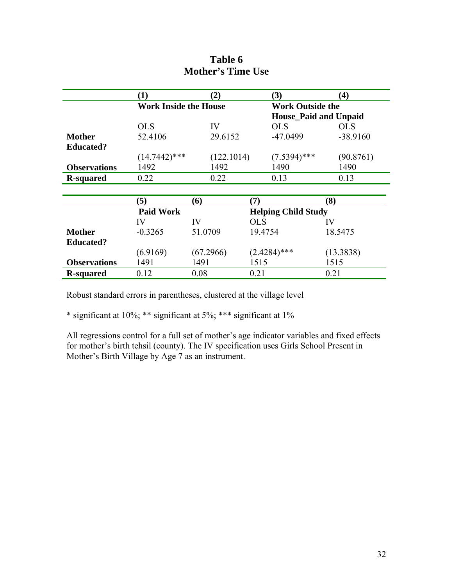|                     | (1)                          | (2)        | (3)                        | $\boldsymbol{(4)}$           |
|---------------------|------------------------------|------------|----------------------------|------------------------------|
|                     | <b>Work Inside the House</b> |            | <b>Work Outside the</b>    |                              |
|                     |                              |            |                            | <b>House_Paid and Unpaid</b> |
|                     | <b>OLS</b>                   | IV         | <b>OLS</b>                 | <b>OLS</b>                   |
| <b>Mother</b>       | 52.4106                      | 29.6152    | $-47.0499$                 | $-38.9160$                   |
| <b>Educated?</b>    |                              |            |                            |                              |
|                     | $(14.7442)$ ***              | (122.1014) | $(7.5394)$ ***             | (90.8761)                    |
| <b>Observations</b> | 1492                         | 1492       | 1490                       | 1490                         |
| <b>R-squared</b>    | 0.22                         | 0.22       | 0.13                       | 0.13                         |
|                     |                              |            |                            |                              |
|                     | (5)                          | (6)        | (7)                        | (8)                          |
|                     | <b>Paid Work</b>             |            | <b>Helping Child Study</b> |                              |
|                     | IV                           | IV         | <b>OLS</b>                 | IV                           |
| <b>Mother</b>       | $-0.3265$                    | 51.0709    | 19.4754                    | 18.5475                      |
| <b>Educated?</b>    |                              |            |                            |                              |
|                     | (6.9169)                     | (67.2966)  | $(2.4284)$ ***             | (13.3838)                    |
| <b>Observations</b> | 1491                         | 1491       | 1515                       | 1515                         |
| <b>R-squared</b>    | 0.12                         | 0.08       | 0.21                       | 0.21                         |

## **Table 6 Mother's Time Use**

Robust standard errors in parentheses, clustered at the village level

\* significant at 10%; \*\* significant at 5%; \*\*\* significant at 1%

All regressions control for a full set of mother's age indicator variables and fixed effects for mother's birth tehsil (county). The IV specification uses Girls School Present in Mother's Birth Village by Age 7 as an instrument.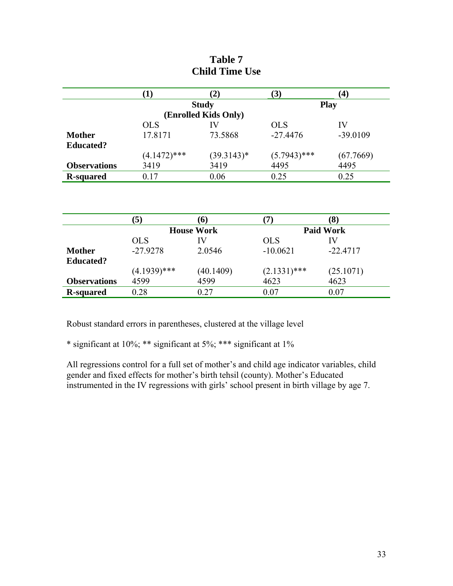|                     | [1]            | (2)                  | (3)            | $\bf(4)$    |
|---------------------|----------------|----------------------|----------------|-------------|
|                     |                | <b>Study</b>         |                | <b>Play</b> |
|                     |                | (Enrolled Kids Only) |                |             |
|                     | <b>OLS</b>     | IV                   | <b>OLS</b>     | IV          |
| <b>Mother</b>       | 17.8171        | 73.5868              | $-27.4476$     | $-39.0109$  |
| <b>Educated?</b>    |                |                      |                |             |
|                     | $(4.1472)$ *** | $(39.3143)*$         | $(5.7943)$ *** | (67.7669)   |
| <b>Observations</b> | 3419           | 3419                 | 4495           | 4495        |
| <b>R-squared</b>    | 0.17           | 0.06                 | 0.25           | 0.25        |

| Table 7               |  |  |  |  |
|-----------------------|--|--|--|--|
| <b>Child Time Use</b> |  |  |  |  |

| <b>Paid Work</b><br><b>House Work</b>                             |  |
|-------------------------------------------------------------------|--|
| <b>OLS</b><br><b>OLS</b><br>IV<br>IV                              |  |
| $-27.9278$<br>$-10.0621$<br>$-22.4717$<br>2.0546<br><b>Mother</b> |  |
| <b>Educated?</b>                                                  |  |
| $(4.1939)$ ***<br>$(2.1331)$ ***<br>(25.1071)<br>(40.1409)        |  |
| 4599<br>4599<br>4623<br>4623<br><b>Observations</b>               |  |
| 0.27<br>0 07<br>0.28<br>0.07<br><b>R-squared</b>                  |  |

Robust standard errors in parentheses, clustered at the village level

\* significant at 10%; \*\* significant at 5%; \*\*\* significant at 1%

All regressions control for a full set of mother's and child age indicator variables, child gender and fixed effects for mother's birth tehsil (county). Mother's Educated instrumented in the IV regressions with girls' school present in birth village by age 7.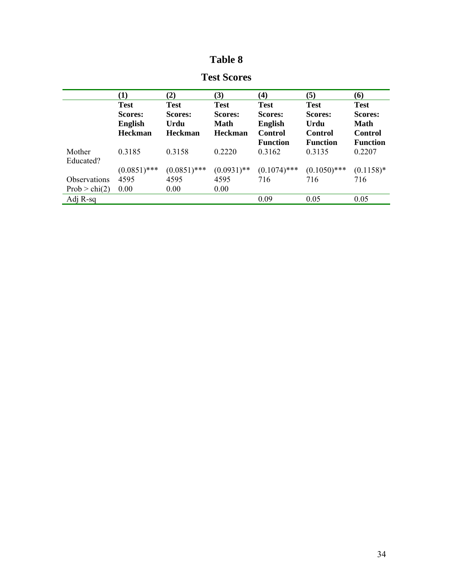# **Table 8**

|                 | (1)            | (2)            | (3)            | (4)             | (5)             | (6)             |
|-----------------|----------------|----------------|----------------|-----------------|-----------------|-----------------|
|                 | <b>Test</b>    | <b>Test</b>    | <b>Test</b>    | <b>Test</b>     | <b>Test</b>     | <b>Test</b>     |
|                 | <b>Scores:</b> | <b>Scores:</b> | <b>Scores:</b> | Scores:         | Scores:         | Scores:         |
|                 | <b>English</b> | Urdu           | <b>Math</b>    | <b>English</b>  | Urdu            | Math            |
|                 | <b>Heckman</b> | <b>Heckman</b> | <b>Heckman</b> | Control         | Control         | <b>Control</b>  |
|                 |                |                |                | <b>Function</b> | <b>Function</b> | <b>Function</b> |
| Mother          | 0.3185         | 0.3158         | 0.2220         | 0.3162          | 0.3135          | 0.2207          |
| Educated?       |                |                |                |                 |                 |                 |
|                 | $(0.0851)$ *** | $(0.0851)$ *** | $(0.0931)$ **  | $(0.1074)$ ***  | $(0.1050)$ ***  | $(0.1158)*$     |
| Observations    | 4595           | 4595           | 4595           | 716             | 716             | 716             |
| Prob $>$ chi(2) | 0.00           | 0.00           | 0.00           |                 |                 |                 |
| Adj R-sq        |                |                |                | 0.09            | 0.05            | 0.05            |

### **Test Scores**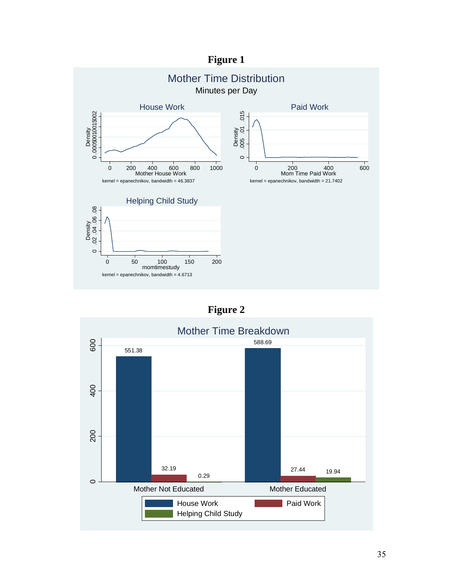## **Figure 1**



## **Figure 2**

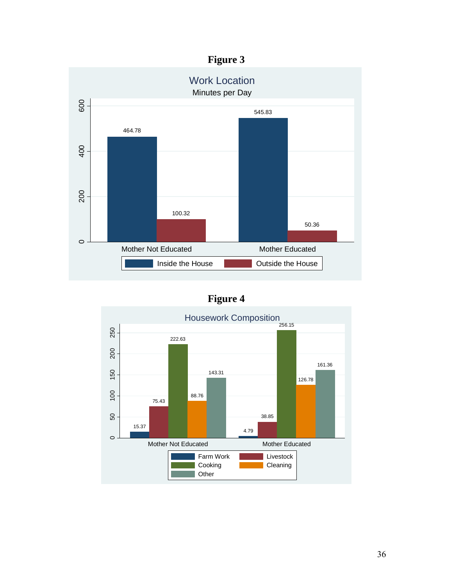# **Figure 3**



# **Figure 4**